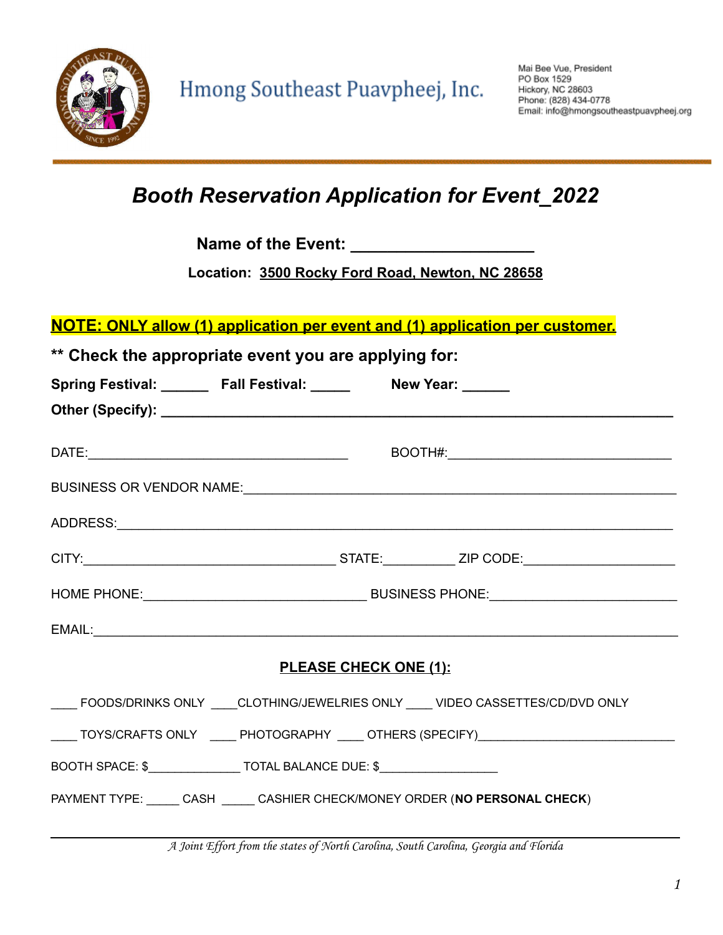

## *Booth Reservation Application for Event\_2022*

**Name of the Event: \_\_\_\_\_\_\_\_\_\_\_\_\_\_\_\_\_\_\_\_**

**Location: 3500 Rocky Ford Road, Newton, NC 28658**

**NOTE: ONLY allow (1) application per event and (1) application per customer.**

| ** Check the appropriate event you are applying for:                               |                              |                                                                                     |  |
|------------------------------------------------------------------------------------|------------------------------|-------------------------------------------------------------------------------------|--|
| Spring Festival: _______ Fall Festival: ______ New Year: ______                    |                              |                                                                                     |  |
|                                                                                    |                              |                                                                                     |  |
|                                                                                    |                              |                                                                                     |  |
|                                                                                    |                              | BUSINESS OR VENDOR NAME: 2000 PERSONAL CONTRACT OR USINESS OR VENDOR NAME:          |  |
|                                                                                    |                              |                                                                                     |  |
|                                                                                    |                              |                                                                                     |  |
|                                                                                    |                              |                                                                                     |  |
|                                                                                    |                              | EMAIL:                                                                              |  |
|                                                                                    | <b>PLEASE CHECK ONE (1):</b> |                                                                                     |  |
|                                                                                    |                              | ____ FOODS/DRINKS ONLY ____CLOTHING/JEWELRIES ONLY ____ VIDEO CASSETTES/CD/DVD ONLY |  |
|                                                                                    |                              | ____TOYS/CRAFTS ONLY _____ PHOTOGRAPHY ____ OTHERS (SPECIFY)____________________    |  |
| BOOTH SPACE: \$____________________TOTAL BALANCE DUE: \$__________________________ |                              |                                                                                     |  |
|                                                                                    |                              | PAYMENT TYPE: CASH _____ CASHIER CHECK/MONEY ORDER (NO PERSONAL CHECK)              |  |
|                                                                                    |                              |                                                                                     |  |

A Joint Effort from the states of North Carolina, South Carolina, Georgia and Florida